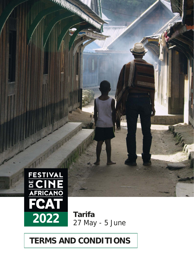

**TERMS AND CONDITIONS**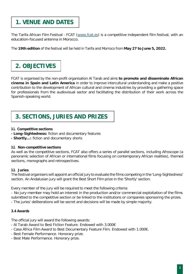## **1. VENUE AND DATES**

The Tarifa African Film Festival - FCAT (www.fcat.es) is a competitive independent film festival, with an education-focused antenna in Morocco.

The **19th edition** of the festival will be held in Tarifa and Morroco from **May 27 to June 5, 2022.**

# **2. OBJECTIVES**

FCAT is organised by the non-profit organisation Al Tarab and aims **to promote and disseminate African cinema in Spain and Latin America** in order to improve intercultural understanding and make a positive contribution to the development of African cultural and cinema industries by providing a gathering space for professionals from the audiovisual sector and facilitating the distribution of their work across the Spanish-speaking world.

## **3. SECTIONS, JURIES AND PRIZES**

## **3.1. Competitive sections**

- **- Long-Sightedness:** fiction and documentary features
- **- Shortly…:** fiction and documentary shorts

## **3.2. Non-competitive sections**

As well as the competitive sections, FCAT also offers a series of parallel sections, including Afroscope (a panoramic selection of African or international films focusing on contemporary African realities), themed sections, monographs and retrospectives.

## **3.3. Juries**

The festival organisers will appoint an official jury to evaluate the films competing in the 'Long-Sightedness' section. An Andalusian jury will grant the Best Short Film prize in the 'Shortly' section.

Every member of the jury will be required to meet the following criteria:

- No jury member may hold an interest in the production and/or commercial exploitation of the films submitted to the competitive section or be linked to the institutions or companies sponsoring the prizes. - The juries' deliberations will be secret and decisions will be made by simple majority.

## **3.4 Awards**

The official jury will award the following awards:

- Al Tarab Award to Best Fiction Feature. Endowed with 3.000€
- Casa África Film Award to Best Documentary Feature Film. Endowed with 1.000€.
- Best Female Performance. Honorary prize.
- Best Male Performance. Honorary prize.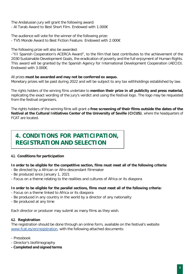The Andalusian jury will grant the following award:

- Al Tarab Award to Best Short Film. Endowed with 1.000€

The audience will vote for the winner of the following prize: - TV5 Monde Award to Best Fiction Feature. Endowed with 2.000€

The following prize will also be awarded:

-"III Spanish Cooperation's ACERCA Award", to the film that best contributes to the achievement of the 2030 Sustainable Development Goals, the eradication of poverty and the full enjoyment of Human Rights. This award will be granted by the Spanish Agency for International Development Cooperation (AECID). Endowed with 3.000€.

## All prizes **must be awarded and may not be conferred ex aequo.**

Monetary prizes will be paid during 2022 and will be subject to any tax withholdings established by law.

The rights holders of the winning films undertake to **mention their prize in all publicity and press material,** replicating the exact wording of the jury's verdict and using the festival logo. The logo may be requested from the festival organisers.

The rights holders of the winning films will grant a **free screening of their films outside the dates of the festival at the Cultural Initiatives Center of the University of Seville (CICUS)**, where the headquarters of FCAT are located.

## **4. CONDITIONS FOR PARTICIPATION, REGISTRATION AND SELECTION**

## **4.1. Conditions for participation**

## **In order to be eligible for the competitive section, films must meet all of the following criteria:**

- Be directed by a African or Afro-descendant filmmaker
- Be produced since January 1, 2021
- Focus on a theme relating to the realities and cultures of Africa or its diaspora

## **In order to be eligible for the parallel sections, films must meet all of the following criteria:**

- Focus on a theme linked to Africa or its diaspora
- Be produced in any country in the world by a director of any nationality
- Be produced at any time

Each director or producer may submit as many films as they wish.

## **4.2. Registration**

The registration should be done through an online form, available on the festival's website [www.fcat.es/en/registration,](http://www.fcat.es/en/registration) with the following attached documents:

- Pressbook
- Director's biofilmography
- **- Completed and signed terms**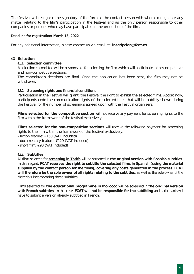The festival will recognise the signatory of the form as the contact person with whom to negotiate any matter relating to the film's participation in the festival and as the only person responsible to other companies or persons who may have participated in the production of the film.

## **Deadline for registration: March 13, 2022**

For any additional information, please contact us via email at: **[inscripcion@fcat.es](mailto:inscripcion@fcat.es)**

#### **4.3. Selection**

#### **4.3.1. Selection committee**

A selection committee will be responsible for selecting the films which will participate in the competitive and non-competitive sections.

The committee's decisions are final. Once the application has been sent, the film may not be withdrawn.

#### **4.3.2. Screening rights and financial conditions**

Participation in the Festival will grant the Festival the right to exhibit the selected films. Accordingly, participants cede the communication rights of the selected titles that will be publicly shown during the Festival for the number of screenings agreed upon with the Festival organisers.

**Films selected for the competitive section** will not receive any payment for screening rights to the film within the framework of the festival exclusively.

**Films selected for the non-competitive sections** will receive the following payment for screening rights to the film within the framework of the festival exclusively:

- fiction feature: €150 (VAT included)
- documentary feature: €120 (VAT included)
- short film: €90 (VAT included)

## **4.3.3. Subtitles**

All films selected for **screening in Tarifa** will be screened in **the original version with Spanish subtitles**. In this regard, **FCAT reserves the right to subtitle the selected films in Spanish (using the material supplied by the contact person for the films), covering any costs generated in the process. FCAT will therefore be the sole owner of all rights relating to the subtitles**, as well as the sole owner of the materials incorporating these subtitles.

Films selected for **the educational programme in Morocco** will be screened in **the original version with French subtitles**. In this case, **FCAT will not be responsible for the subtitling** and participants will have to submit a version already subtitled in French.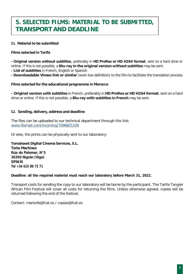## **5. SELECTED FILMS: MATERIAL TO BE SUBMITTED, TRANSPORT AND DEADLINE**

## **5.1. Material to be submitted**

#### **Films selected in Tarifa**

**- Original version without subtitles**, preferably in **HD ProRes or HD H264 format**, sent on a hard drive or online. If this is not possible, a **Blu-ray in the original version without subtitles** may be sent.

**- List of subtitles** in French, English or Spanish

**- Downloadable Vimeo link or similar** (even low definition) to the film to facilitate the translation process

#### **Films selected for the educational programme in Morocco**

**- Original version with subtitles** in French, preferably in **HD ProRes or HD H264 format**, sent on a hard drive or online. If this is not possible, a **Blu-ray with subtitles in French** may be sent.

#### **5.2. Sending, delivery, address and deadline**

The files can be uploaded to our technical department through this link: [www.filemail.com/incoming/7096821109](http://www.filemail.com/incoming/7096821109)

Or else, the prints can be physically sent to our laboratory:

**Tomahawk Digital Cinema Services, S.L. Toño Martínez Rúa do Palomar, N°5 36350 Nigrán (Vigo) SPAIN Tel +34 615 86 72 71**

#### **Deadline: all the required material must reach our laboratory before March 31, 2022.**

Transport costs for sending the copy to our laboratory will be borne by the participant. The Tarifa-Tangier African Film Festival will cover all costs for returning the films. Unless otherwise agreed, copies will be returned following the end of the festival.

Contact: [marionb@fcat.es](mailto:marionb@fcat.es) / [copias@fcat.es](mailto:copias@fcat.es)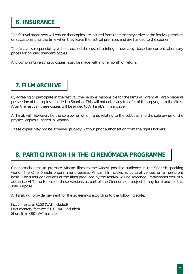## **6. INSURANCE**

The festival organisers will ensure that copies are insured from the time they arrive at the festival premises or at customs until the time when they leave the festival premises and are handed to the courier.

The festival's responsibility will not exceed the cost of printing a new copy, based on current laboratory prices for printing standard copies.

Any complaints relating to copies must be made within one month of return.

# **7. FILM ARCHIVE**

By agreeing to participate in the festival, the persons responsible for the films will grant Al Tarab material possession of the copies subtitled in Spanish. This will not entail any transfer of the copyright to the films. After the festival, these copies will be added to Al Tarab's film archive.

Al Tarab will, however, be the sole owner of all rights relating to the subtitles and the sole owner of the physical copies subtitled in Spanish.

These copies may not be screened publicly without prior authorisation from the rights holders.

## **8. PARTICIPATION IN THE CINENÓMADA PROGRAMME**

Cinenómada aims to promote African films to the widest possible audience in the Spanish-speaking world. The Cinenómada programme organises African film cycles at cultural venues on a non-profit basis. The subtitled versions of the films produced by the festival will be screened. Participants explicitly authorise Al Tarab to screen these versions as part of the Cinenómada project in any form and for this sole purpose.

Al Tarab will provide payment for the screenings according to the following scale:

Fiction feature: €150 (VAT included) Documentary feature: €120 (VAT included) Short film: €90 (VAT included)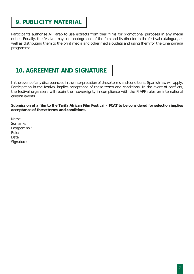## **9. PUBLICITY MATERIAL**

Participants authorise Al Tarab to use extracts from their films for promotional purposes in any media outlet. Equally, the festival may use photographs of the film and its director in the festival catalogue, as well as distributing them to the print media and other media outlets and using them for the Cinenómada programme.

# **10. AGREEMENT AND SIGNATURE**

In the event of any discrepancies in the interpretation of these terms and conditions, Spanish law will apply. Participation in the festival implies acceptance of these terms and conditions. In the event of conflicts, the festival organisers will retain their sovereignty in compliance with the FIAPF rules on international cinema events.

## **Submission of a film to the Tarifa African Film Festival – FCAT to be considered for selection implies acceptance of these terms and conditions.**

Name: Surname: Passport no.: Role: Date: Signature: